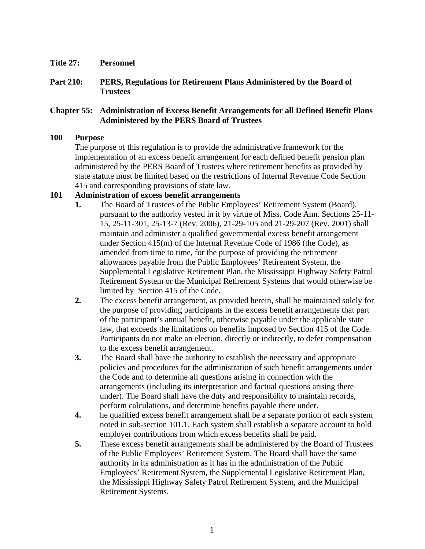- **Title 27: Personnel**
- **Part 210: PERS, Regulations for Retirement Plans Administered by the Board of Trustees**

# **Chapter 55: Administration of Excess Benefit Arrangements for all Defined Benefit Plans Administered by the PERS Board of Trustees**

## **100 Purpose**

The purpose of this regulation is to provide the administrative framework for the implementation of an excess benefit arrangement for each defined benefit pension plan administered by the PERS Board of Trustees where retirement benefits as provided by state statute must be limited based on the restrictions of Internal Revenue Code Section 415 and corresponding provisions of state law.

# **101 Administration of excess benefit arrangements**

- **1.** The Board of Trustees of the Public Employees' Retirement System (Board), pursuant to the authority vested in it by virtue of Miss. Code Ann. Sections 25-11- 15, 25-11-301, 25-13-7 (Rev. 2006), 21-29-105 and 21-29-207 (Rev. 2001) shall maintain and administer a qualified governmental excess benefit arrangement under Section 415(m) of the Internal Revenue Code of 1986 (the Code), as amended from time to time, for the purpose of providing the retirement allowances payable from the Public Employees' Retirement System, the Supplemental Legislative Retirement Plan, the Mississippi Highway Safety Patrol Retirement System or the Municipal Retirement Systems that would otherwise be limited by Section 415 of the Code.
- **2.** The excess benefit arrangement, as provided herein, shall be maintained solely for the purpose of providing participants in the excess benefit arrangements that part of the participant's annual benefit, otherwise payable under the applicable state law, that exceeds the limitations on benefits imposed by Section 415 of the Code. Participants do not make an election, directly or indirectly, to defer compensation to the excess benefit arrangement.
- **3.** The Board shall have the authority to establish the necessary and appropriate policies and procedures for the administration of such benefit arrangements under the Code and to determine all questions arising in connection with the arrangements (including its interpretation and factual questions arising there under). The Board shall have the duty and responsibility to maintain records, perform calculations, and determine benefits payable there under.
- **4.** he qualified excess benefit arrangement shall be a separate portion of each system noted in sub-section 101.1. Each system shall establish a separate account to hold employer contributions from which excess benefits shall be paid.
- **5.** These excess benefit arrangements shall be administered by the Board of Trustees of the Public Employees' Retirement System. The Board shall have the same authority in its administration as it has in the administration of the Public Employees' Retirement System, the Supplemental Legislative Retirement Plan, the Mississippi Highway Safety Patrol Retirement System, and the Municipal Retirement Systems.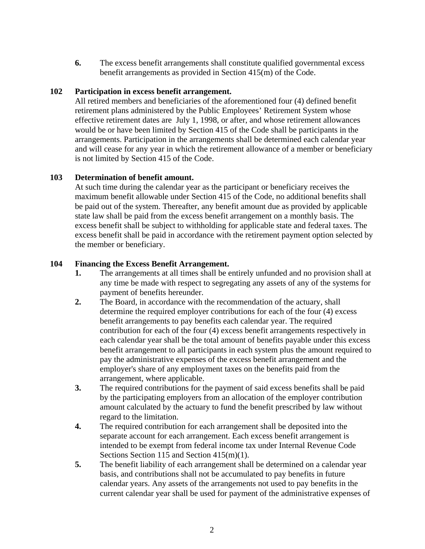**6.** The excess benefit arrangements shall constitute qualified governmental excess benefit arrangements as provided in Section 415(m) of the Code.

# **102 Participation in excess benefit arrangement.**

All retired members and beneficiaries of the aforementioned four (4) defined benefit retirement plans administered by the Public Employees' Retirement System whose effective retirement dates are July 1, 1998, or after, and whose retirement allowances would be or have been limited by Section 415 of the Code shall be participants in the arrangements. Participation in the arrangements shall be determined each calendar year and will cease for any year in which the retirement allowance of a member or beneficiary is not limited by Section 415 of the Code.

# **103 Determination of benefit amount.**

At such time during the calendar year as the participant or beneficiary receives the maximum benefit allowable under Section 415 of the Code, no additional benefits shall be paid out of the system. Thereafter, any benefit amount due as provided by applicable state law shall be paid from the excess benefit arrangement on a monthly basis. The excess benefit shall be subject to withholding for applicable state and federal taxes. The excess benefit shall be paid in accordance with the retirement payment option selected by the member or beneficiary.

#### **104 Financing the Excess Benefit Arrangement.**

- **1.** The arrangements at all times shall be entirely unfunded and no provision shall at any time be made with respect to segregating any assets of any of the systems for payment of benefits hereunder.
- **2.** The Board, in accordance with the recommendation of the actuary, shall determine the required employer contributions for each of the four (4) excess benefit arrangements to pay benefits each calendar year. The required contribution for each of the four (4) excess benefit arrangements respectively in each calendar year shall be the total amount of benefits payable under this excess benefit arrangement to all participants in each system plus the amount required to pay the administrative expenses of the excess benefit arrangement and the employer's share of any employment taxes on the benefits paid from the arrangement, where applicable.
- **3.** The required contributions for the payment of said excess benefits shall be paid by the participating employers from an allocation of the employer contribution amount calculated by the actuary to fund the benefit prescribed by law without regard to the limitation.
- **4.** The required contribution for each arrangement shall be deposited into the separate account for each arrangement. Each excess benefit arrangement is intended to be exempt from federal income tax under Internal Revenue Code Sections Section 115 and Section 415(m)(1).
- **5.** The benefit liability of each arrangement shall be determined on a calendar year basis, and contributions shall not be accumulated to pay benefits in future calendar years. Any assets of the arrangements not used to pay benefits in the current calendar year shall be used for payment of the administrative expenses of